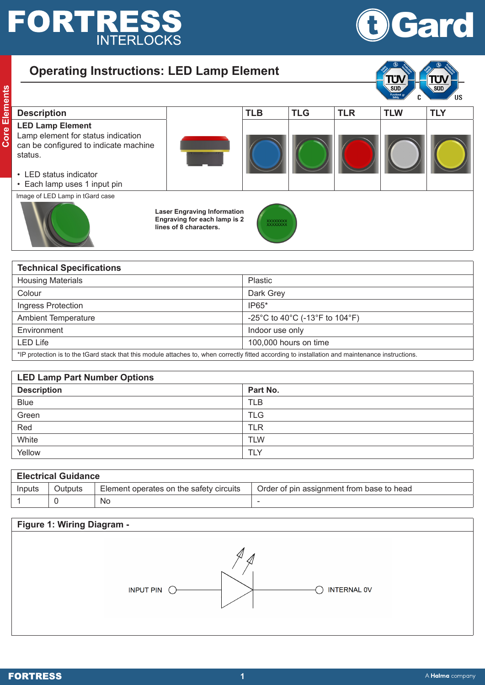## **FORTRESS**

**Core Elements**

**Core Elements** 



| <b>Operating Instructions: LED Lamp Element</b>                                                                                                                             |                                                                                              |                             |            |            | TÜV                                       |            |
|-----------------------------------------------------------------------------------------------------------------------------------------------------------------------------|----------------------------------------------------------------------------------------------|-----------------------------|------------|------------|-------------------------------------------|------------|
|                                                                                                                                                                             |                                                                                              |                             |            |            | <b>SUD</b><br><b>Functional</b><br>Safety |            |
| <b>Description</b>                                                                                                                                                          |                                                                                              | <b>TLB</b>                  | <b>TLG</b> | <b>TLR</b> | <b>TLW</b>                                | <b>TLY</b> |
| <b>LED Lamp Element</b><br>Lamp element for status indication<br>can be configured to indicate machine<br>status.<br>• LED status indicator<br>• Each lamp uses 1 input pin |                                                                                              |                             |            |            |                                           |            |
| Image of LED Lamp in tGard case                                                                                                                                             | <b>Laser Engraving Information</b><br>Engraving for each lamp is 2<br>lines of 8 characters. | <b>XXXXXXXX</b><br>XXXXXXXX |            |            |                                           |            |

| <b>Technical Specifications</b>                                                                                                                  |                                |  |  |  |
|--------------------------------------------------------------------------------------------------------------------------------------------------|--------------------------------|--|--|--|
| <b>Housing Materials</b>                                                                                                                         | <b>Plastic</b>                 |  |  |  |
| Colour                                                                                                                                           | Dark Grey                      |  |  |  |
| Ingress Protection                                                                                                                               | $IP65*$                        |  |  |  |
| <b>Ambient Temperature</b>                                                                                                                       | -25°C to 40°C (-13°F to 104°F) |  |  |  |
| Environment                                                                                                                                      | Indoor use only                |  |  |  |
| <b>LED Life</b>                                                                                                                                  | 100,000 hours on time          |  |  |  |
| *IP protection is to the tGard stack that this module attaches to, when correctly fitted according to installation and maintenance instructions. |                                |  |  |  |

| <b>LED Lamp Part Number Options</b> |            |  |  |
|-------------------------------------|------------|--|--|
| <b>Description</b>                  | Part No.   |  |  |
| <b>Blue</b>                         | <b>TLB</b> |  |  |
| Green                               | <b>TLG</b> |  |  |
| Red                                 | <b>TLR</b> |  |  |
| White                               | <b>TLW</b> |  |  |
| Yellow                              | <b>TLY</b> |  |  |

| <b>Electrical Guidance</b> |         |                                         |                                           |  |  |
|----------------------------|---------|-----------------------------------------|-------------------------------------------|--|--|
| Inputs                     | Outputs | Element operates on the safety circuits | Order of pin assignment from base to head |  |  |
|                            |         | No                                      |                                           |  |  |